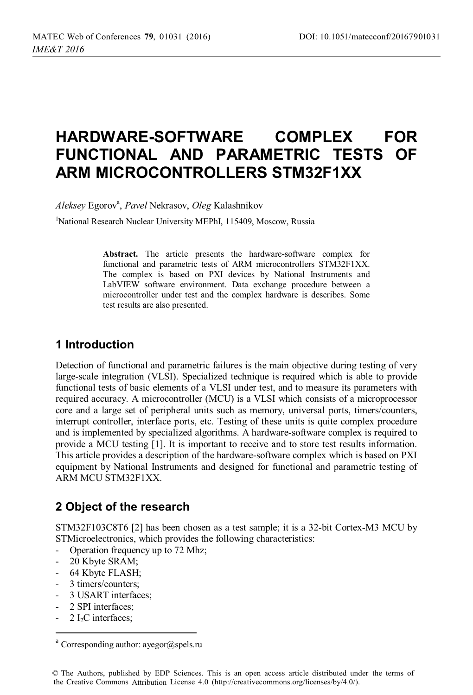# **HARDWARE-SOFTWARE COMPLEX FOR FUNCTIONAL AND PARAMETRIC TESTS OF ARM MICROCONTROLLERS STM32F1XX**

*Aleksey* Egorova , *Pavel* Nekrasov, *Oleg* Kalashnikov

<sup>1</sup>National Research Nuclear University MEPhI, 115409, Moscow, Russia

**Abstract.** The article presents the hardware-software complex for functional and parametric tests of ARM microcontrollers STM32F1XX. The complex is based on PXI devices by National Instruments and LabVIEW software environment. Data exchange procedure between a microcontroller under test and the complex hardware is describes. Some test results are also presented.

#### **1 Introduction**

Detection of functional and parametric failures is the main objective during testing of very large-scale integration (VLSI). Specialized technique is required which is able to provide functional tests of basic elements of a VLSI under test, and to measure its parameters with required accuracy. A microcontroller (MCU) is a VLSI which consists of a microprocessor core and a large set of peripheral units such as memory, universal ports, timers/counters, interrupt controller, interface ports, etc. Testing of these units is quite complex procedure and is implemented by specialized algorithms. A hardware-software complex is required to provide a MCU testing [1]. It is important to receive and to store test results information. This article provides a description of the hardware-software complex which is based on PXI equipment by National Instruments and designed for functional and parametric testing of ARM MCU STM32F1ХХ.

## **2 Object of the research**

STM32F103C8T6 [2] has been chosen as a test sample; it is a 32-bit Cortex-M3 MCU by STMicroelectronics, which provides the following characteristics:

- Operation frequency up to 72 Mhz;
- 20 Kbyte SRAM;
- 64 Kbyte FLASH;
- 3 timers/counters;
- 3 USART interfaces;
- 2 SPI interfaces;
- 2 I<sub>2</sub>C interfaces;

 $a$  Corresponding author: ayegor@spels.ru

<sup>©</sup> The Authors, published by EDP Sciences. This is an open access article distributed under the terms of the Creative Commons Attribution License 4.0 (http://creativecommons.org/licenses/by/4.0/).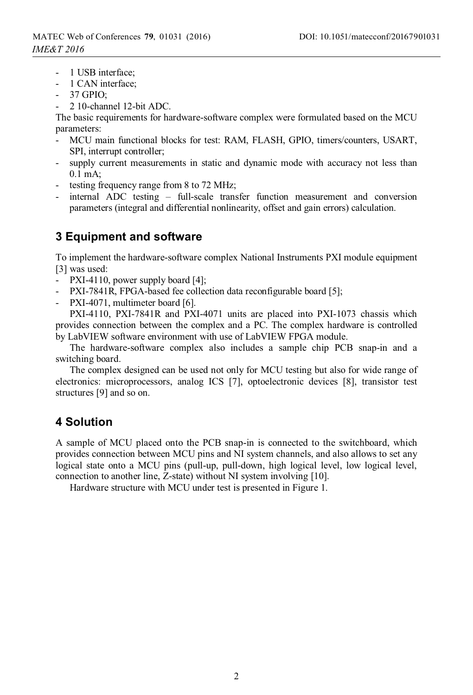- 1 USB interface;
- 1 CAN interface;
- 37 GPIO;
- 2 10-channel 12-bit ADC.

The basic requirements for hardware-software complex were formulated based on the MCU parameters:

- MCU main functional blocks for test: RAM, FLASH, GPIO, timers/counters, USART, SPI, interrupt controller;
- supply current measurements in static and dynamic mode with accuracy not less than 0.1 mA;
- testing frequency range from 8 to 72 MHz;
- internal ADC testing full-scale transfer function measurement and conversion parameters (integral and differential nonlinearity, offset and gain errors) calculation.

## **3 Equipment and software**

To implement the hardware-software complex National Instruments PXI module equipment [3] was used:

- PXI-4110, power supply board [4];
- PXI-7841R, FPGA-based fee collection data reconfigurable board [5];
- PXI-4071, multimeter board [6].

PXI-4110, PXI-7841R and PXI-4071 units are placed into PXI-1073 chassis which provides connection between the complex and a PC. The complex hardware is controlled by LabVIEW software environment with use of LabVIEW FPGA module.

The hardware-software complex also includes a sample chip PCB snap-in and a switching board.

The complex designed can be used not only for MCU testing but also for wide range of electronics: microprocessors, analog ICS [7], optoelectronic devices [8], transistor test structures [9] and so on.

## **4 Solution**

A sample of MCU placed onto the PCB snap-in is connected to the switchboard, which provides connection between MCU pins and NI system channels, and also allows to set any logical state onto a MCU pins (pull-up, pull-down, high logical level, low logical level, connection to another line, Z-state) without NI system involving [10].

Hardware structure with MCU under test is presented in Figure 1.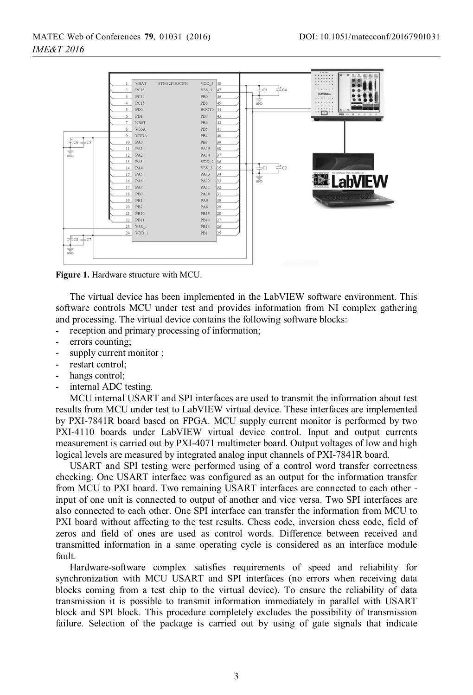

**Figure 1.** Hardware structure with MCU.

 The virtual device has been implemented in the LabVIEW software environment. This software controls MCU under test and provides information from NI complex gathering and processing. The virtual device contains the following software blocks:

- reception and primary processing of information;
- errors counting;
- supply current monitor ;
- restart control;
- hangs control;
- internal ADC testing.

MCU internal USART and SPI interfaces are used to transmit the information about test results from MCU under test to LabVIEW virtual device. These interfaces are implemented by PXI-7841R board based on FPGA. MCU supply current monitor is performed by two PXI-4110 boards under LabVIEW virtual device control. Input and output currents measurement is carried out by PXI-4071 multimeter board. Output voltages of low and high logical levels are measured by integrated analog input channels of PXI-7841R board.

USART and SPI testing were performed using of a control word transfer correctness checking. One USART interface was configured as an output for the information transfer from MCU to PXI board. Two remaining USART interfaces are connected to each other input of one unit is connected to output of another and vice versa. Two SPI interfaces are also connected to each other. One SPI interface can transfer the information from MCU to PXI board without affecting to the test results. Chess code, inversion chess code, field of zeros and field of ones are used as control words. Difference between received and transmitted information in a same operating cycle is considered as an interface module fault.

Hardware-software complex satisfies requirements of speed and reliability for synchronization with MCU USART and SPI interfaces (no errors when receiving data blocks coming from a test chip to the virtual device). To ensure the reliability of data transmission it is possible to transmit information immediately in parallel with USART block and SPI block. This procedure completely excludes the possibility of transmission failure. Selection of the package is carried out by using of gate signals that indicate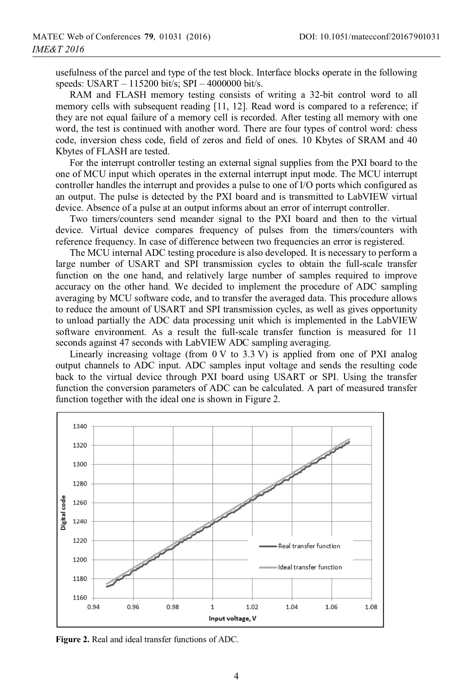usefulness of the parcel and type of the test block. Interface blocks operate in the following speeds: USART – 115200 bit/s; SPI – 4000000 bit/s.

RAM and FLASH memory testing consists of writing a 32-bit control word to all memory cells with subsequent reading [11, 12]. Read word is compared to a reference; if they are not equal failure of a memory cell is recorded. After testing all memory with one word, the test is continued with another word. There are four types of control word: chess code, inversion chess code, field of zeros and field of ones. 10 Kbytes of SRAM and 40 Kbytes of FLASH are tested.

For the interrupt controller testing an external signal supplies from the PXI board to the one of MCU input which operates in the external interrupt input mode. The MCU interrupt controller handles the interrupt and provides a pulse to one of I/O ports which configured as an output. The pulse is detected by the PXI board and is transmitted to LabVIEW virtual device. Absence of a pulse at an output informs about an error of interrupt controller.

Two timers/counters send meander signal to the PXI board and then to the virtual device. Virtual device compares frequency of pulses from the timers/counters with reference frequency. In case of difference between two frequencies an error is registered.

The MCU internal ADC testing procedure is also developed. It is necessary to perform a large number of USART and SPI transmission cycles to obtain the full-scale transfer function on the one hand, and relatively large number of samples required to improve accuracy on the other hand. We decided to implement the procedure of ADC sampling averaging by MCU software code, and to transfer the averaged data. This procedure allows to reduce the amount of USART and SPI transmission cycles, as well as gives opportunity to unload partially the ADC data processing unit which is implemented in the LabVIEW software environment. As a result the full-scale transfer function is measured for 11 seconds against 47 seconds with LabVIEW ADC sampling averaging.

Linearly increasing voltage (from  $0 \vee$  to 3.3 V) is applied from one of PXI analog output channels to ADC input. ADC samples input voltage and sends the resulting code back to the virtual device through PXI board using USART or SPI. Using the transfer function the conversion parameters of ADC can be calculated. A part of measured transfer function together with the ideal one is shown in Figure 2.



**Figure 2.** Real and ideal transfer functions of ADC.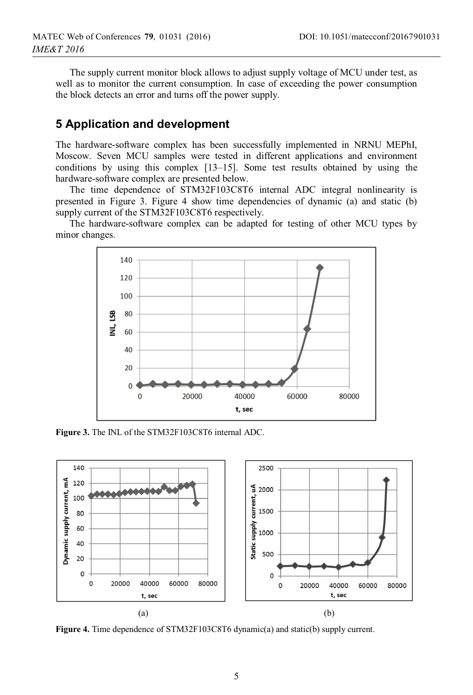The supply current monitor block allows to adjust supply voltage of MCU under test, as well as to monitor the current consumption. In case of exceeding the power consumption the block detects an error and turns off the power supply.

## **5 Application and development**

The hardware-software complex has been successfully implemented in NRNU MEPhI, Moscow. Seven MCU samples were tested in different applications and environment conditions by using this complex [13–15]. Some test results obtained by using the hardware-software complex are presented below.

The time dependence of STM32F103C8T6 internal ADC integral nonlinearity is presented in Figure 3. Figure 4 show time dependencies of dynamic (a) and static (b) supply current of the STM32F103C8T6 respectively.

The hardware-software complex can be adapted for testing of other MCU types by minor changes.



**Figure 3.** The INL of the STM32F103C8T6 internal ADC.



**Figure 4.** Time dependence of STM32F103C8T6 dynamic(a) and static(b) supply current.